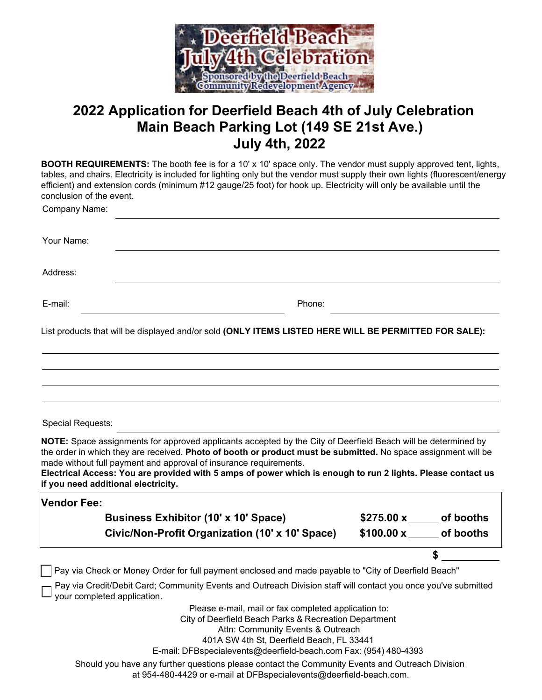

## **2022 Application for Deerfield Beach 4th of July Celebration July 4th, 2022 Main Beach Parking Lot (149 SE 21st Ave.)**

| <b>BOOTH REQUIREMENTS:</b> The booth fee is for a 10' x 10' space only. The vendor must supply approved tent, lights,<br>tables, and chairs. Electricity is included for lighting only but the vendor must supply their own lights (fluorescent/energy<br>efficient) and extension cords (minimum #12 gauge/25 foot) for hook up. Electricity will only be available until the<br>conclusion of the event.                                                 |                            |  |
|------------------------------------------------------------------------------------------------------------------------------------------------------------------------------------------------------------------------------------------------------------------------------------------------------------------------------------------------------------------------------------------------------------------------------------------------------------|----------------------------|--|
| Company Name:                                                                                                                                                                                                                                                                                                                                                                                                                                              |                            |  |
| Your Name:                                                                                                                                                                                                                                                                                                                                                                                                                                                 |                            |  |
| Address:                                                                                                                                                                                                                                                                                                                                                                                                                                                   |                            |  |
| E-mail:<br>Phone:                                                                                                                                                                                                                                                                                                                                                                                                                                          |                            |  |
| List products that will be displayed and/or sold (ONLY ITEMS LISTED HERE WILL BE PERMITTED FOR SALE):                                                                                                                                                                                                                                                                                                                                                      |                            |  |
|                                                                                                                                                                                                                                                                                                                                                                                                                                                            |                            |  |
|                                                                                                                                                                                                                                                                                                                                                                                                                                                            |                            |  |
| Special Requests:                                                                                                                                                                                                                                                                                                                                                                                                                                          |                            |  |
| NOTE: Space assignments for approved applicants accepted by the City of Deerfield Beach will be determined by<br>the order in which they are received. Photo of booth or product must be submitted. No space assignment will be<br>made without full payment and approval of insurance requirements.<br>Electrical Access: You are provided with 5 amps of power which is enough to run 2 lights. Please contact us<br>if you need additional electricity. |                            |  |
| <b>Vendor Fee:</b>                                                                                                                                                                                                                                                                                                                                                                                                                                         |                            |  |
| <b>Business Exhibitor (10' x 10' Space)</b>                                                                                                                                                                                                                                                                                                                                                                                                                | $$275.00 x$ of booths      |  |
| Civic/Non-Profit Organization (10' x 10' Space)                                                                                                                                                                                                                                                                                                                                                                                                            | $$100.00 \times$ of booths |  |
|                                                                                                                                                                                                                                                                                                                                                                                                                                                            |                            |  |
| Pay via Check or Money Order for full payment enclosed and made payable to "City of Deerfield Beach"                                                                                                                                                                                                                                                                                                                                                       |                            |  |
| Pay via Credit/Debit Card; Community Events and Outreach Division staff will contact you once you've submitted<br>your completed application.                                                                                                                                                                                                                                                                                                              |                            |  |
| Please e-mail, mail or fax completed application to:<br>City of Deerfield Beach Parks & Recreation Department<br>Attn: Community Events & Outreach<br>401A SW 4th St, Deerfield Beach, FL 33441<br>E-mail: DFBspecialevents@deerfield-beach.com Fax: (954) 480-4393                                                                                                                                                                                        |                            |  |
| Should you have any further questions please contact the Community Events and Outreach Division<br>at 954-480-4429 or e-mail at DFBspecialevents@deerfield-beach.com.                                                                                                                                                                                                                                                                                      |                            |  |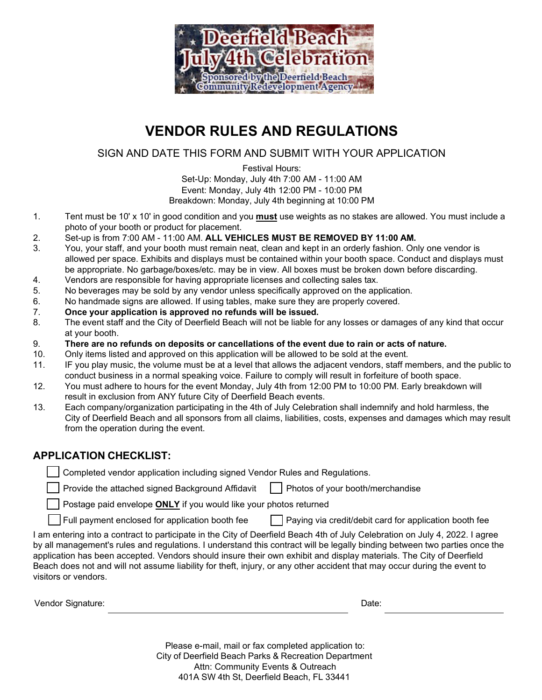

## **VENDOR RULES AND REGULATIONS**

SIGN AND DATE THIS FORM AND SUBMIT WITH YOUR APPLICATION

 Set-Up: Monday, July 4th 7:00 AM - 11:00 AM Breakdown: Monday, July 4th beginning at 10:00 PM Festival Hours: Event: Monday, July 4th 12:00 PM - 10:00 PM

- $\mathbf{1}$ . 1. Tent must be 10' x 10' in good condition and you **must** use weights as no stakes are allowed. You must include a photo of your booth or product for placement.
- $2.$ 2. Set-up is from 7:00 AM - 11:00 AM. **ALL VEHICLES MUST BE REMOVED BY 11:00 AM.**
- 3. You, your staff, and your booth must remain neat, clean and kept in an orderly fashion. Only one vendor is allowed per space. Exhibits and displays must be contained within your booth space. Conduct and displays must be appropriate. No garbage/boxes/etc. may be in view. All boxes must be broken down before discarding.
- 4. Vendors are responsible for having appropriate licenses and collecting sales tax.
- 5. No beverages may be sold by any vendor unless specifically approved on the application.
- 6.<br>7. No handmade signs are allowed. If using tables, make sure they are properly covered.
- 7. **Once your application is approved no refunds will be issued.**
- 8. The event staff and the City of Deerfield Beach will not be liable for any losses or damages of any kind that occur at your booth.
- 9. **There are no refunds on deposits or cancellations of the event due to rain or acts of nature.**
- $10.$ 10. Only items listed and approved on this application will be allowed to be sold at the event.
- $11.$  conduct business in a normal speaking voice. Failure to comply will result in forfeiture of booth space. IF you play music, the volume must be at a level that allows the adjacent vendors, staff members, and the public to
- $12<sub>1</sub>$ You must adhere to hours for the event Monday, July 4th from 12:00 PM to 10:00 PM. Early breakdown will result in exclusion from ANY future City of Deerfield Beach events.
- $13.$  City of Deerfield Beach and all sponsors from all claims, liabilities, costs, expenses and damages which may result 13. Each company/organization participating in the 4th of July Celebration shall indemnify and hold harmless, the from the operation during the event.

## **APPLICATION CHECKLIST:**

Completed vendor application including signed Vendor Rules and Regulations.

Provide the attached signed Background Affidavit  $\Box$  Photos of your booth/merchandise

Postage paid envelope **ONLY** if you would like your photos returned

 $\Box$  Full payment enclosed for application booth fee  $\Box$  Paying via credit/debit card for application booth fee

 by all management's rules and regulations. I understand this contract will be legally binding between two parties once the application has been accepted. Vendors should insure their own exhibit and display materials. The City of Deerfield Beach does not and will not assume liability for theft, injury, or any other accident that may occur during the event to I am entering into a contract to participate in the City of Deerfield Beach 4th of July Celebration on July 4, 2022. I agree visitors or vendors.

| Vendor Signature: | Date: |  |
|-------------------|-------|--|
|-------------------|-------|--|

 Please e-mail, mail or fax completed application to: City of Deerfield Beach Parks & Recreation Department 401A SW 4th St, Deerfield Beach, FL 33441 Attn: Community Events & Outreach